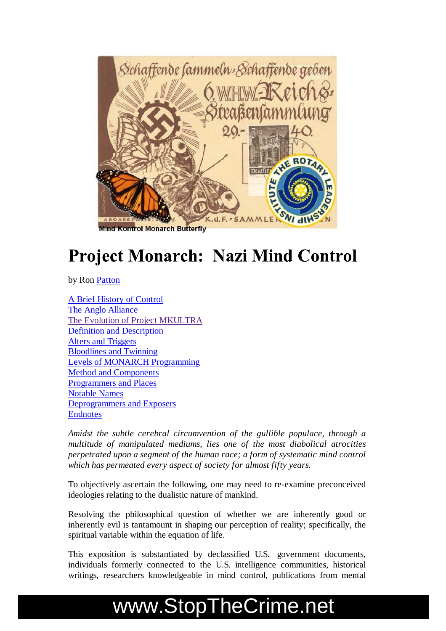

**Mind Kontrol Monarch Butterfly** 

## **Project Monarch: Nazi Mind Control**

by Ron Patton

A Brief History of Control The Anglo Alliance The Evolution of Project MKULTRA Definition and Description Alters and Triggers Bloodlines and Twinning Levels of MONARCH Programming Method and Components Programmers and Places Notable Names Deprogrammers and Exposers Endnotes

*Amidst the subtle cerebral circumvention of the gullible populace, through a multitude of manipulated mediums, lies one of the most diabolical atrocities perpetrated upon a segment of the human race; a form of systematic mind control which has permeated every aspect of society for almost fifty years.*

To objectively ascertain the following, one may need to re-examine preconceived ideologies relating to the dualistic nature of mankind.

Resolving the philosophical question of whether we are inherently good or inherently evil is tantamount in shaping our perception of reality; specifically, the spiritual variable within the equation of life.

This exposition is substantiated by declassified U.S. government documents, individuals formerly connected to the U.S. intelligence communities, historical writings, researchers knowledgeable in mind control, publications from mental

# www.StopTheCrime.net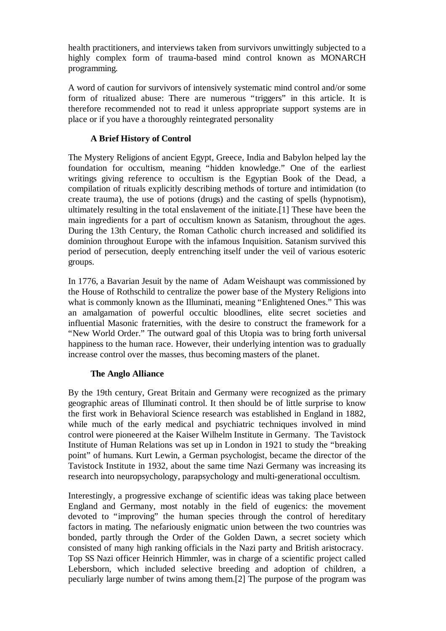health practitioners, and interviews taken from survivors unwittingly subjected to a highly complex form of trauma-based mind control known as MONARCH programming.

A word of caution for survivors of intensively systematic mind control and/or some form of ritualized abuse: There are numerous "triggers" in this article. It is therefore recommended not to read it unless appropriate support systems are in place or if you have a thoroughly reintegrated personality

## **A Brief History of Control**

The Mystery Religions of ancient Egypt, Greece, India and Babylon helped lay the foundation for occultism, meaning "hidden knowledge." One of the earliest writings giving reference to occultism is the Egyptian Book of the Dead, a compilation of rituals explicitly describing methods of torture and intimidation (to create trauma), the use of potions (drugs) and the casting of spells (hypnotism), ultimately resulting in the total enslavement of the initiate.[1] These have been the main ingredients for a part of occultism known as Satanism, throughout the ages. During the 13th Century, the Roman Catholic church increased and solidified its dominion throughout Europe with the infamous Inquisition. Satanism survived this period of persecution, deeply entrenching itself under the veil of various esoteric groups.

In 1776, a Bavarian Jesuit by the name of Adam Weishaupt was commissioned by the House of Rothschild to centralize the power base of the Mystery Religions into what is commonly known as the Illuminati, meaning "Enlightened Ones." This was an amalgamation of powerful occultic bloodlines, elite secret societies and influential Masonic fraternities, with the desire to construct the framework for a "New World Order." The outward goal of this Utopia was to bring forth universal happiness to the human race. However, their underlying intention was to gradually increase control over the masses, thus becoming masters of the planet.

### **The Anglo Alliance**

By the 19th century, Great Britain and Germany were recognized as the primary geographic areas of Illuminati control. It then should be of little surprise to know the first work in Behavioral Science research was established in England in 1882, while much of the early medical and psychiatric techniques involved in mind control were pioneered at the Kaiser Wilhelm Institute in Germany. The Tavistock Institute of Human Relations was set up in London in 1921 to study the "breaking point" of humans. Kurt Lewin, a German psychologist, became the director of the Tavistock Institute in 1932, about the same time Nazi Germany was increasing its research into neuropsychology, parapsychology and multi-generational occultism.

Interestingly, a progressive exchange of scientific ideas was taking place between England and Germany, most notably in the field of eugenics: the movement devoted to "improving" the human species through the control of hereditary factors in mating. The nefariously enigmatic union between the two countries was bonded, partly through the Order of the Golden Dawn, a secret society which consisted of many high ranking officials in the Nazi party and British aristocracy. Top SS Nazi officer Heinrich Himmler, was in charge of a scientific project called Lebersborn, which included selective breeding and adoption of children, a peculiarly large number of twins among them.[2] The purpose of the program was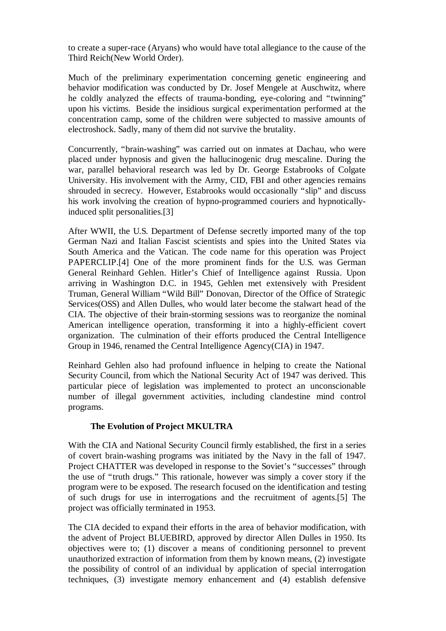to create a super-race (Aryans) who would have total allegiance to the cause of the Third Reich(New World Order).

Much of the preliminary experimentation concerning genetic engineering and behavior modification was conducted by Dr. Josef Mengele at Auschwitz, where he coldly analyzed the effects of trauma-bonding, eye-coloring and "twinning" upon his victims. Beside the insidious surgical experimentation performed at the concentration camp, some of the children were subjected to massive amounts of electroshock. Sadly, many of them did not survive the brutality.

Concurrently, "brain-washing" was carried out on inmates at Dachau, who were placed under hypnosis and given the hallucinogenic drug mescaline. During the war, parallel behavioral research was led by Dr. George Estabrooks of Colgate University. His involvement with the Army, CID, FBI and other agencies remains shrouded in secrecy. However, Estabrooks would occasionally "slip" and discuss his work involving the creation of hypno-programmed couriers and hypnoticallyinduced split personalities.[3]

After WWII, the U.S. Department of Defense secretly imported many of the top German Nazi and Italian Fascist scientists and spies into the United States via South America and the Vatican. The code name for this operation was Project PAPERCLIP.[4] One of the more prominent finds for the U.S. was German General Reinhard Gehlen. Hitler's Chief of Intelligence against Russia. Upon arriving in Washington D.C. in 1945, Gehlen met extensively with President Truman, General William "Wild Bill" Donovan, Director of the Office of Strategic Services(OSS) and Allen Dulles, who would later become the stalwart head of the CIA. The objective of their brain-storming sessions was to reorganize the nominal American intelligence operation, transforming it into a highly-efficient covert organization. The culmination of their efforts produced the Central Intelligence Group in 1946, renamed the Central Intelligence Agency(CIA) in 1947.

Reinhard Gehlen also had profound influence in helping to create the National Security Council, from which the National Security Act of 1947 was derived. This particular piece of legislation was implemented to protect an unconscionable number of illegal government activities, including clandestine mind control programs.

### **The Evolution of Project MKULTRA**

With the CIA and National Security Council firmly established, the first in a series of covert brain-washing programs was initiated by the Navy in the fall of 1947. Project CHATTER was developed in response to the Soviet's "successes" through the use of "truth drugs." This rationale, however was simply a cover story if the program were to be exposed. The research focused on the identification and testing of such drugs for use in interrogations and the recruitment of agents.[5] The project was officially terminated in 1953.

The CIA decided to expand their efforts in the area of behavior modification, with the advent of Project BLUEBIRD, approved by director Allen Dulles in 1950. Its objectives were to; (1) discover a means of conditioning personnel to prevent unauthorized extraction of information from them by known means, (2) investigate the possibility of control of an individual by application of special interrogation techniques, (3) investigate memory enhancement and (4) establish defensive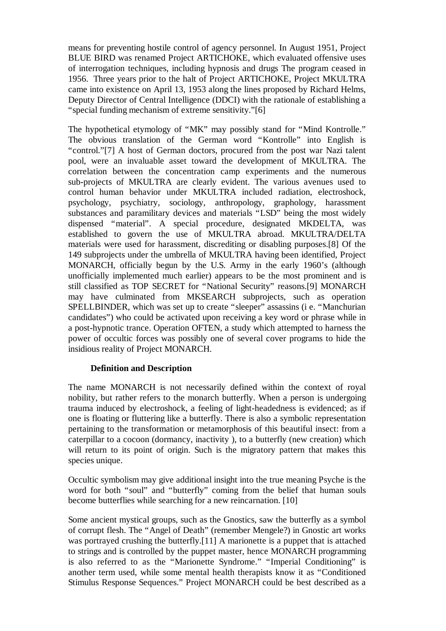means for preventing hostile control of agency personnel. In August 1951, Project BLUE BIRD was renamed Project ARTICHOKE, which evaluated offensive uses of interrogation techniques, including hypnosis and drugs The program ceased in 1956. Three years prior to the halt of Project ARTICHOKE, Project MKULTRA came into existence on April 13, 1953 along the lines proposed by Richard Helms, Deputy Director of Central Intelligence (DDCI) with the rationale of establishing a "special funding mechanism of extreme sensitivity."[6]

The hypothetical etymology of "MK" may possibly stand for "Mind Kontrolle." The obvious translation of the German word "Kontrolle" into English is "control."[7] A host of German doctors, procured from the post war Nazi talent pool, were an invaluable asset toward the development of MKULTRA. The correlation between the concentration camp experiments and the numerous sub-projects of MKULTRA are clearly evident. The various avenues used to control human behavior under MKULTRA included radiation, electroshock, psychology, psychiatry, sociology, anthropology, graphology, harassment substances and paramilitary devices and materials "LSD" being the most widely dispensed "material". A special procedure, designated MKDELTA, was established to govern the use of MKULTRA abroad. MKULTRA/DELTA materials were used for harassment, discrediting or disabling purposes.[8] Of the 149 subprojects under the umbrella of MKULTRA having been identified, Project MONARCH, officially begun by the U.S. Army in the early 1960's (although unofficially implemented much earlier) appears to be the most prominent and is still classified as TOP SECRET for "National Security" reasons.[9] MONARCH may have culminated from MKSEARCH subprojects, such as operation SPELLBINDER, which was set up to create "sleeper" assassins (i e. "Manchurian candidates") who could be activated upon receiving a key word or phrase while in a post-hypnotic trance. Operation OFTEN, a study which attempted to harness the power of occultic forces was possibly one of several cover programs to hide the insidious reality of Project MONARCH.

## **Definition and Description**

The name MONARCH is not necessarily defined within the context of royal nobility, but rather refers to the monarch butterfly. When a person is undergoing trauma induced by electroshock, a feeling of light-headedness is evidenced; as if one is floating or fluttering like a butterfly. There is also a symbolic representation pertaining to the transformation or metamorphosis of this beautiful insect: from a caterpillar to a cocoon (dormancy, inactivity ), to a butterfly (new creation) which will return to its point of origin. Such is the migratory pattern that makes this species unique.

Occultic symbolism may give additional insight into the true meaning Psyche is the word for both "soul" and "butterfly" coming from the belief that human souls become butterflies while searching for a new reincarnation. [10]

Some ancient mystical groups, such as the Gnostics, saw the butterfly as a symbol of corrupt flesh. The "Angel of Death" (remember Mengele?) in Gnostic art works was portrayed crushing the butterfly.[11] A marionette is a puppet that is attached to strings and is controlled by the puppet master, hence MONARCH programming is also referred to as the "Marionette Syndrome." "Imperial Conditioning" is another term used, while some mental health therapists know it as "Conditioned Stimulus Response Sequences." Project MONARCH could be best described as a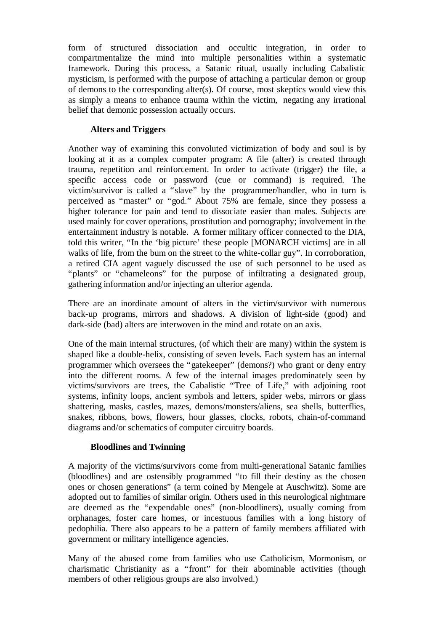form of structured dissociation and occultic integration, in order to compartmentalize the mind into multiple personalities within a systematic framework. During this process, a Satanic ritual, usually including Cabalistic mysticism, is performed with the purpose of attaching a particular demon or group of demons to the corresponding alter(s). Of course, most skeptics would view this as simply a means to enhance trauma within the victim, negating any irrational belief that demonic possession actually occurs.

## **Alters and Triggers**

Another way of examining this convoluted victimization of body and soul is by looking at it as a complex computer program: A file (alter) is created through trauma, repetition and reinforcement. In order to activate (trigger) the file, a specific access code or password (cue or command) is required. The victim/survivor is called a "slave" by the programmer/handler, who in turn is perceived as "master" or "god." About 75% are female, since they possess a higher tolerance for pain and tend to dissociate easier than males. Subjects are used mainly for cover operations, prostitution and pornography; involvement in the entertainment industry is notable. A former military officer connected to the DIA, told this writer, "In the 'big picture' these people [MONARCH victims] are in all walks of life, from the bum on the street to the white-collar guy". In corroboration, a retired CIA agent vaguely discussed the use of such personnel to be used as "plants" or "chameleons" for the purpose of infiltrating a designated group, gathering information and/or injecting an ulterior agenda.

There are an inordinate amount of alters in the victim/survivor with numerous back-up programs, mirrors and shadows. A division of light-side (good) and dark-side (bad) alters are interwoven in the mind and rotate on an axis.

One of the main internal structures, (of which their are many) within the system is shaped like a double-helix, consisting of seven levels. Each system has an internal programmer which oversees the "gatekeeper" (demons?) who grant or deny entry into the different rooms. A few of the internal images predominately seen by victims/survivors are trees, the Cabalistic "Tree of Life," with adjoining root systems, infinity loops, ancient symbols and letters, spider webs, mirrors or glass shattering, masks, castles, mazes, demons/monsters/aliens, sea shells, butterflies, snakes, ribbons, bows, flowers, hour glasses, clocks, robots, chain-of-command diagrams and/or schematics of computer circuitry boards.

## **Bloodlines and Twinning**

A majority of the victims/survivors come from multi-generational Satanic families (bloodlines) and are ostensibly programmed "to fill their destiny as the chosen ones or chosen generations" (a term coined by Mengele at Auschwitz). Some are adopted out to families of similar origin. Others used in this neurological nightmare are deemed as the "expendable ones" (non-bloodliners), usually coming from orphanages, foster care homes, or incestuous families with a long history of pedophilia. There also appears to be a pattern of family members affiliated with government or military intelligence agencies.

Many of the abused come from families who use Catholicism, Mormonism, or charismatic Christianity as a "front" for their abominable activities (though members of other religious groups are also involved.)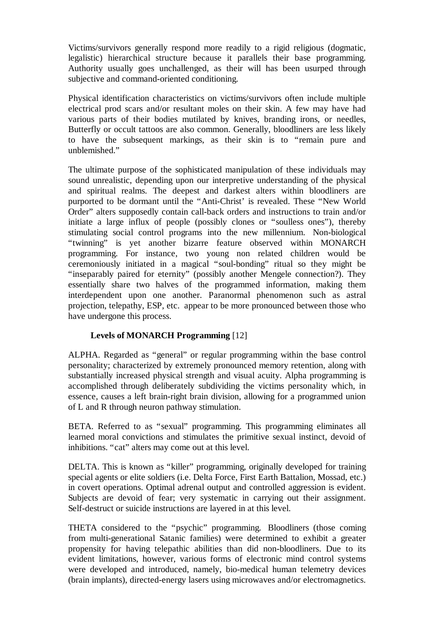Victims/survivors generally respond more readily to a rigid religious (dogmatic, legalistic) hierarchical structure because it parallels their base programming. Authority usually goes unchallenged, as their will has been usurped through subjective and command-oriented conditioning.

Physical identification characteristics on victims/survivors often include multiple electrical prod scars and/or resultant moles on their skin. A few may have had various parts of their bodies mutilated by knives, branding irons, or needles, Butterfly or occult tattoos are also common. Generally, bloodliners are less likely to have the subsequent markings, as their skin is to "remain pure and unblemished."

The ultimate purpose of the sophisticated manipulation of these individuals may sound unrealistic, depending upon our interpretive understanding of the physical and spiritual realms. The deepest and darkest alters within bloodliners are purported to be dormant until the "Anti-Christ' is revealed. These "New World Order" alters supposedly contain call-back orders and instructions to train and/or initiate a large influx of people (possibly clones or "soulless ones"), thereby stimulating social control programs into the new millennium. Non-biological "twinning" is yet another bizarre feature observed within MONARCH programming. For instance, two young non related children would be ceremoniously initiated in a magical "soul-bonding" ritual so they might be "inseparably paired for eternity" (possibly another Mengele connection?). They essentially share two halves of the programmed information, making them interdependent upon one another. Paranormal phenomenon such as astral projection, telepathy, ESP, etc. appear to be more pronounced between those who have undergone this process.

## **Levels of MONARCH Programming** [12]

ALPHA. Regarded as "general" or regular programming within the base control personality; characterized by extremely pronounced memory retention, along with substantially increased physical strength and visual acuity. Alpha programming is accomplished through deliberately subdividing the victims personality which, in essence, causes a left brain-right brain division, allowing for a programmed union of L and R through neuron pathway stimulation.

BETA. Referred to as "sexual" programming. This programming eliminates all learned moral convictions and stimulates the primitive sexual instinct, devoid of inhibitions. "cat" alters may come out at this level.

DELTA. This is known as "killer" programming, originally developed for training special agents or elite soldiers (i.e. Delta Force, First Earth Battalion, Mossad, etc.) in covert operations. Optimal adrenal output and controlled aggression is evident. Subjects are devoid of fear; very systematic in carrying out their assignment. Self-destruct or suicide instructions are layered in at this level.

THETA considered to the "psychic" programming. Bloodliners (those coming from multi-generational Satanic families) were determined to exhibit a greater propensity for having telepathic abilities than did non-bloodliners. Due to its evident limitations, however, various forms of electronic mind control systems were developed and introduced, namely, bio-medical human telemetry devices (brain implants), directed-energy lasers using microwaves and/or electromagnetics.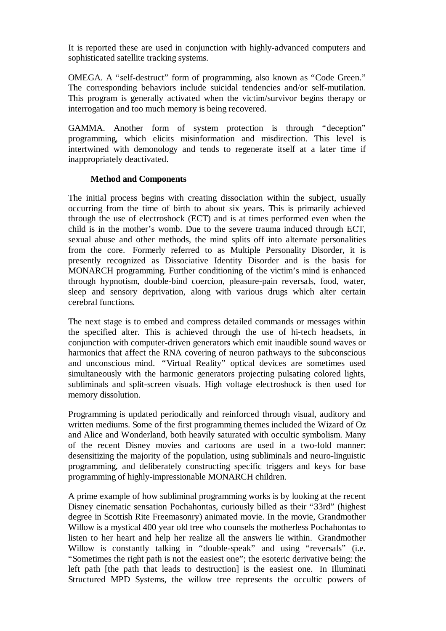It is reported these are used in conjunction with highly-advanced computers and sophisticated satellite tracking systems.

OMEGA. A "self-destruct" form of programming, also known as "Code Green." The corresponding behaviors include suicidal tendencies and/or self-mutilation. This program is generally activated when the victim/survivor begins therapy or interrogation and too much memory is being recovered.

GAMMA. Another form of system protection is through "deception" programming, which elicits misinformation and misdirection. This level is intertwined with demonology and tends to regenerate itself at a later time if inappropriately deactivated.

## **Method and Components**

The initial process begins with creating dissociation within the subject, usually occurring from the time of birth to about six years. This is primarily achieved through the use of electroshock (ECT) and is at times performed even when the child is in the mother's womb. Due to the severe trauma induced through ECT, sexual abuse and other methods, the mind splits off into alternate personalities from the core. Formerly referred to as Multiple Personality Disorder, it is presently recognized as Dissociative Identity Disorder and is the basis for MONARCH programming. Further conditioning of the victim's mind is enhanced through hypnotism, double-bind coercion, pleasure-pain reversals, food, water, sleep and sensory deprivation, along with various drugs which alter certain cerebral functions.

The next stage is to embed and compress detailed commands or messages within the specified alter. This is achieved through the use of hi-tech headsets, in conjunction with computer-driven generators which emit inaudible sound waves or harmonics that affect the RNA covering of neuron pathways to the subconscious and unconscious mind. "Virtual Reality" optical devices are sometimes used simultaneously with the harmonic generators projecting pulsating colored lights, subliminals and split-screen visuals. High voltage electroshock is then used for memory dissolution.

Programming is updated periodically and reinforced through visual, auditory and written mediums. Some of the first programming themes included the Wizard of Oz and Alice and Wonderland, both heavily saturated with occultic symbolism. Many of the recent Disney movies and cartoons are used in a two-fold manner: desensitizing the majority of the population, using subliminals and neuro-linguistic programming, and deliberately constructing specific triggers and keys for base programming of highly-impressionable MONARCH children.

A prime example of how subliminal programming works is by looking at the recent Disney cinematic sensation Pochahontas, curiously billed as their "33rd" (highest degree in Scottish Rite Freemasonry) animated movie. In the movie, Grandmother Willow is a mystical 400 year old tree who counsels the motherless Pochahontas to listen to her heart and help her realize all the answers lie within. Grandmother Willow is constantly talking in "double-speak" and using "reversals" (i.e. "Sometimes the right path is not the easiest one"; the esoteric derivative being: the left path [the path that leads to destruction] is the easiest one. In Illuminati Structured MPD Systems, the willow tree represents the occultic powers of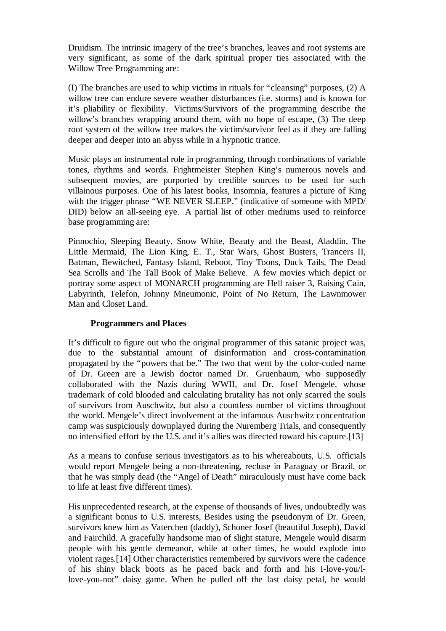Druidism. The intrinsic imagery of the tree's branches, leaves and root systems are very significant, as some of the dark spiritual proper ties associated with the Willow Tree Programming are:

(I) The branches are used to whip victims in rituals for "cleansing" purposes, (2) A willow tree can endure severe weather disturbances (i.e. storms) and is known for it's pliability or flexibility. Victims/Survivors of the programming describe the willow's branches wrapping around them, with no hope of escape, (3) The deep root system of the willow tree makes the victim/survivor feel as if they are falling deeper and deeper into an abyss while in a hypnotic trance.

Music plays an instrumental role in programming, through combinations of variable tones, rhythms and words. Frightmeister Stephen King's numerous novels and subsequent movies, are purported by credible sources to be used for such villainous purposes. One of his latest books, Insomnia, features a picture of King with the trigger phrase "WE NEVER SLEEP," (indicative of someone with MPD/ DID) below an all-seeing eye. A partial list of other mediums used to reinforce base programming are:

Pinnochio, Sleeping Beauty, Snow White, Beauty and the Beast, Aladdin, The Little Mermaid, The Lion King, E. T., Star Wars, Ghost Busters, Trancers II, Batman, Bewitched, Fantasy Island, Reboot, Tiny Toons, Duck Tails, The Dead Sea Scrolls and The Tall Book of Make Believe. A few movies which depict or portray some aspect of MONARCH programming are Hell raiser 3, Raising Cain, Labyrinth, Telefon, Johnny Mneumonic, Point of No Return, The Lawnmower Man and Closet Land.

### **Programmers and Places**

It's difficult to figure out who the original programmer of this satanic project was, due to the substantial amount of disinformation and cross-contamination propagated by the "powers that be." The two that went by the color-coded name of Dr. Green are a Jewish doctor named Dr. Gruenbaum, who supposedly collaborated with the Nazis during WWII, and Dr. Josef Mengele, whose trademark of cold blooded and calculating brutality has not only scarred the souls of survivors from Auschwitz, but also a countless number of victims throughout the world. Mengele's direct involvement at the infamous Auschwitz concentration camp was suspiciously downplayed during the Nuremberg Trials, and consequently no intensified effort by the U.S. and it's allies was directed toward his capture.[13]

As a means to confuse serious investigators as to his whereabouts, U.S. officials would report Mengele being a non-threatening, recluse in Paraguay or Brazil, or that he was simply dead (the "Angel of Death" miraculously must have come back to life at least five different times).

His unprecedented research, at the expense of thousands of lives, undoubtedly was a significant bonus to U.S. interests, Besides using the pseudonym of Dr. Green, survivors knew him as Vaterchen (daddy), Schoner Josef (beautiful Joseph), David and Fairchild. A gracefully handsome man of slight stature, Mengele would disarm people with his gentle demeanor, while at other times, he would explode into violent rages.[14] Other characteristics remembered by survivors were the cadence of his shiny black boots as he paced back and forth and his I-love-you/llove-you-not" daisy game. When he pulled off the last daisy petal, he would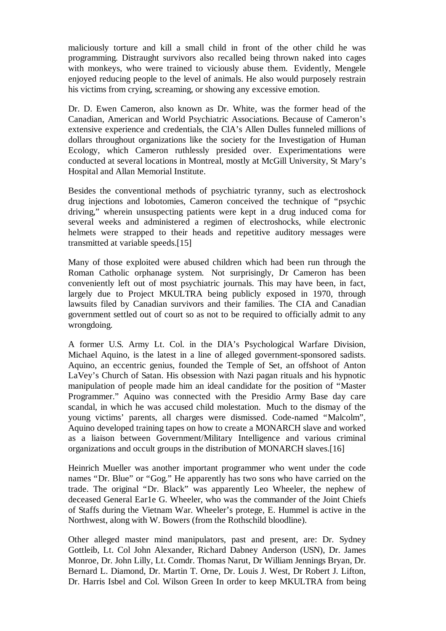maliciously torture and kill a small child in front of the other child he was programming. Distraught survivors also recalled being thrown naked into cages with monkeys, who were trained to viciously abuse them. Evidently, Mengele enjoyed reducing people to the level of animals. He also would purposely restrain his victims from crying, screaming, or showing any excessive emotion.

Dr. D. Ewen Cameron, also known as Dr. White, was the former head of the Canadian, American and World Psychiatric Associations. Because of Cameron's extensive experience and credentials, the ClA's Allen Dulles funneled millions of dollars throughout organizations like the society for the Investigation of Human Ecology, which Cameron ruthlessly presided over. Experimentations were conducted at several locations in Montreal, mostly at McGill University, St Mary's Hospital and Allan Memorial Institute.

Besides the conventional methods of psychiatric tyranny, such as electroshock drug injections and lobotomies, Cameron conceived the technique of "psychic driving," wherein unsuspecting patients were kept in a drug induced coma for several weeks and administered a regimen of electroshocks, while electronic helmets were strapped to their heads and repetitive auditory messages were transmitted at variable speeds.[15]

Many of those exploited were abused children which had been run through the Roman Catholic orphanage system. Not surprisingly, Dr Cameron has been conveniently left out of most psychiatric journals. This may have been, in fact, largely due to Project MKULTRA being publicly exposed in 1970, through lawsuits filed by Canadian survivors and their families. The CIA and Canadian government settled out of court so as not to be required to officially admit to any wrongdoing.

A former U.S. Army Lt. Col. in the DIA's Psychological Warfare Division, Michael Aquino, is the latest in a line of alleged government-sponsored sadists. Aquino, an eccentric genius, founded the Temple of Set, an offshoot of Anton LaVey's Church of Satan. His obsession with Nazi pagan rituals and his hypnotic manipulation of people made him an ideal candidate for the position of "Master Programmer." Aquino was connected with the Presidio Army Base day care scandal, in which he was accused child molestation. Much to the dismay of the young victims' parents, all charges were dismissed. Code-named "Malcolm", Aquino developed training tapes on how to create a MONARCH slave and worked as a liaison between Government/Military Intelligence and various criminal organizations and occult groups in the distribution of MONARCH slaves.[16]

Heinrich Mueller was another important programmer who went under the code names "Dr. Blue" or "Gog." He apparently has two sons who have carried on the trade. The original "Dr. Black" was apparently Leo Wheeler, the nephew of deceased General Ear1e G. Wheeler, who was the commander of the Joint Chiefs of Staffs during the Vietnam War. Wheeler's protege, E. Hummel is active in the Northwest, along with W. Bowers (from the Rothschild bloodline).

Other alleged master mind manipulators, past and present, are: Dr. Sydney Gottleib, Lt. Col John Alexander, Richard Dabney Anderson (USN), Dr. James Monroe, Dr. John Lilly, Lt. Comdr. Thomas Narut, Dr William Jennings Bryan, Dr. Bernard L. Diamond, Dr. Martin T. Orne, Dr. Louis J. West, Dr Robert J. Lifton, Dr. Harris Isbel and Col. Wilson Green In order to keep MKULTRA from being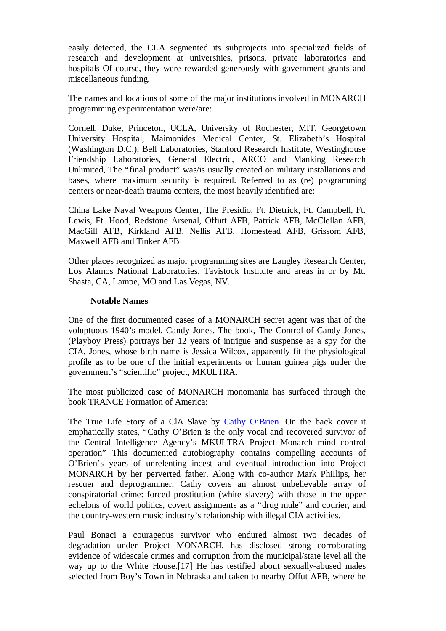easily detected, the CLA segmented its subprojects into specialized fields of research and development at universities, prisons, private laboratories and hospitals Of course, they were rewarded generously with government grants and miscellaneous funding.

The names and locations of some of the major institutions involved in MONARCH programming experimentation were/are:

Cornell, Duke, Princeton, UCLA, University of Rochester, MIT, Georgetown University Hospital, Maimonides Medical Center, St. Elizabeth's Hospital (Washington D.C.), Bell Laboratories, Stanford Research Institute, Westinghouse Friendship Laboratories, General Electric, ARCO and Manking Research Unlimited, The "final product" was/is usually created on military installations and bases, where maximum security is required. Referred to as (re) programming centers or near-death trauma centers, the most heavily identified are:

China Lake Naval Weapons Center, The Presidio, Ft. Dietrick, Ft. Campbell, Ft. Lewis, Ft. Hood, Redstone Arsenal, Offutt AFB, Patrick AFB, McClellan AFB, MacGill AFB, Kirkland AFB, Nellis AFB, Homestead AFB, Grissom AFB, Maxwell AFB and Tinker AFB

Other places recognized as major programming sites are Langley Research Center, Los Alamos National Laboratories, Tavistock Institute and areas in or by Mt. Shasta, CA, Lampe, MO and Las Vegas, NV.

#### **Notable Names**

One of the first documented cases of a MONARCH secret agent was that of the voluptuous 1940's model, Candy Jones. The book, The Control of Candy Jones, (Playboy Press) portrays her 12 years of intrigue and suspense as a spy for the CIA. Jones, whose birth name is Jessica Wilcox, apparently fit the physiological profile as to be one of the initial experiments or human guinea pigs under the government's "scientific" project, MKULTRA.

The most publicized case of MONARCH monomania has surfaced through the book TRANCE Formation of America:

The True Life Story of a ClA Slave by Cathy O'Brien. On the back cover it emphatically states, "Cathy O'Brien is the only vocal and recovered survivor of the Central Intelligence Agency's MKULTRA Project Monarch mind control operation" This documented autobiography contains compelling accounts of O'Brien's years of unrelenting incest and eventual introduction into Project MONARCH by her perverted father. Along with co-author Mark PhiIlips, her rescuer and deprogrammer, Cathy covers an almost unbelievable array of conspiratorial crime: forced prostitution (white slavery) with those in the upper echelons of world politics, covert assignments as a "drug mule" and courier, and the country-western music industry's relationship with illegal CIA activities.

Paul Bonaci a courageous survivor who endured almost two decades of degradation under Project MONARCH, has disclosed strong corroborating evidence of widescale crimes and corruption from the municipal/state level all the way up to the White House.[17] He has testified about sexually-abused males selected from Boy's Town in Nebraska and taken to nearby Offut AFB, where he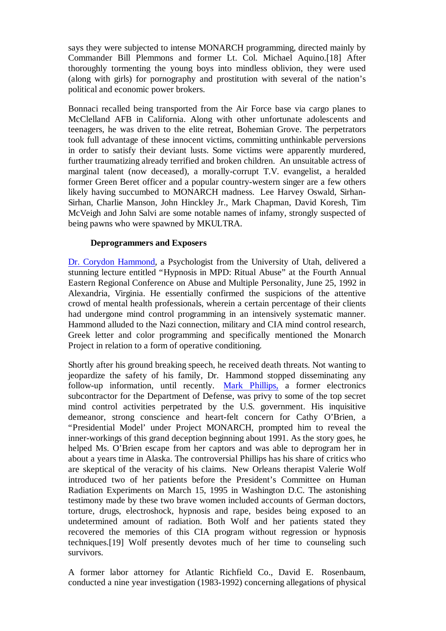says they were subjected to intense MONARCH programming, directed mainly by Commander Bill Plemmons and former Lt. Col. Michael Aquino.[18] After thoroughly tormenting the young boys into mindless oblivion, they were used (along with girls) for pornography and prostitution with several of the nation's political and economic power brokers.

Bonnaci recalled being transported from the Air Force base via cargo planes to McClelland AFB in California. Along with other unfortunate adolescents and teenagers, he was driven to the elite retreat, Bohemian Grove. The perpetrators took full advantage of these innocent victims, committing unthinkable perversions in order to satisfy their deviant lusts. Some victims were apparently murdered, further traumatizing already terrified and broken children. An unsuitable actress of marginal talent (now deceased), a morally-corrupt T.V. evangelist, a heralded former Green Beret officer and a popular country-western singer are a few others likely having succumbed to MONARCH madness. Lee Harvey Oswald, Sirhan-Sirhan, Charlie Manson, John Hinckley Jr., Mark Chapman, David Koresh, Tim McVeigh and John Salvi are some notable names of infamy, strongly suspected of being pawns who were spawned by MKULTRA.

### **Deprogrammers and Exposers**

Dr. Corydon Hammond, a Psychologist from the University of Utah, delivered a stunning lecture entitled "Hypnosis in MPD: Ritual Abuse" at the Fourth Annual Eastern Regional Conference on Abuse and Multiple Personality, June 25, 1992 in Alexandria, Virginia. He essentially confirmed the suspicions of the attentive crowd of mental health professionals, wherein a certain percentage of their clients had undergone mind control programming in an intensively systematic manner. Hammond alluded to the Nazi connection, military and CIA mind control research, Greek letter and color programming and specifically mentioned the Monarch Project in relation to a form of operative conditioning.

Shortly after his ground breaking speech, he received death threats. Not wanting to jeopardize the safety of his family, Dr. Hammond stopped disseminating any follow-up information, until recently. Mark Phillips, a former electronics subcontractor for the Department of Defense, was privy to some of the top secret mind control activities perpetrated by the U.S. government. His inquisitive demeanor, strong conscience and heart-felt concern for Cathy O'Brien, a "Presidential Model' under Project MONARCH, prompted him to reveal the inner-workings of this grand deception beginning about 1991. As the story goes, he helped Ms. O'Brien escape from her captors and was able to deprogram her in about a years time in Alaska. The controversial Phillips has his share of critics who are skeptical of the veracity of his claims. New Orleans therapist Valerie Wolf introduced two of her patients before the President's Committee on Human Radiation Experiments on March 15, 1995 in Washington D.C. The astonishing testimony made by these two brave women included accounts of German doctors, torture, drugs, electroshock, hypnosis and rape, besides being exposed to an undetermined amount of radiation. Both Wolf and her patients stated they recovered the memories of this CIA program without regression or hypnosis techniques.[19] Wolf presently devotes much of her time to counseling such survivors.

A former labor attorney for Atlantic Richfield Co., David E. Rosenbaum, conducted a nine year investigation (1983-1992) concerning allegations of physical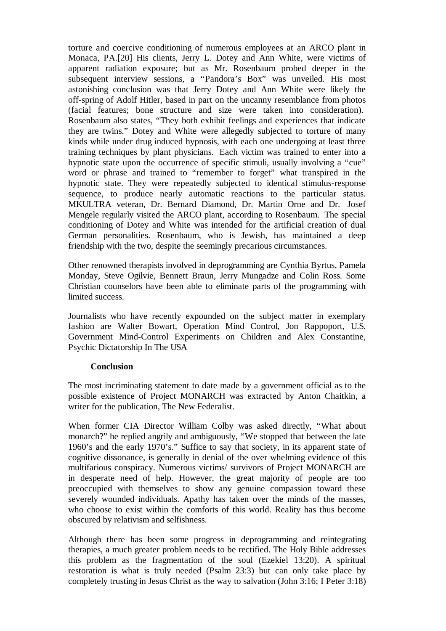torture and coercive conditioning of numerous employees at an ARCO plant in Monaca, PA.[20] His clients, Jerry L. Dotey and Ann White, were victims of apparent radiation exposure; but as Mr. Rosenbaum probed deeper in the subsequent interview sessions, a "Pandora's Box" was unveiled. His most astonishing conclusion was that Jerry Dotey and Ann White were likely the off-spring of Adolf Hitler, based in part on the uncanny resemblance from photos (facial features; bone structure and size were taken into consideration). Rosenbaum also states, "They both exhibit feelings and experiences that indicate they are twins." Dotey and White were allegedly subjected to torture of many kinds while under drug induced hypnosis, with each one undergoing at least three training techniques by plant physicians. Each victim was trained to enter into a hypnotic state upon the occurrence of specific stimuli, usually involving a "cue" word or phrase and trained to "remember to forget" what transpired in the hypnotic state. They were repeatedly subjected to identical stimulus-response sequence, to produce nearly automatic reactions to the particular status. MKULTRA veteran, Dr. Bernard Diamond, Dr. Martin Orne and Dr. Josef Mengele regularly visited the ARCO plant, according to Rosenbaum. The special conditioning of Dotey and White was intended for the artificial creation of dual German personalities. Rosenbaum, who is Jewish, has maintained a deep friendship with the two, despite the seemingly precarious circumstances.

Other renowned therapists involved in deprogramming are Cynthia Byrtus, Pamela Monday, Steve Ogilvie, Bennett Braun, Jerry Mungadze and Colin Ross. Some Christian counselors have been able to eliminate parts of the programming with limited success.

Journalists who have recently expounded on the subject matter in exemplary fashion are Walter Bowart, Operation Mind Control, Jon Rappoport, U.S. Government Mind-Control Experiments on Children and Alex Constantine, Psychic Dictatorship In The USA

### **Conclusion**

The most incriminating statement to date made by a government official as to the possible existence of Project MONARCH was extracted by Anton Chaitkin, a writer for the publication, The New Federalist.

When former CIA Director William Colby was asked directly, "What about monarch?" he replied angrily and ambiguously, "We stopped that between the late 1960's and the early 1970's." Suffice to say that society, in its apparent state of cognitive dissonance, is generally in denial of the over whelming evidence of this multifarious conspiracy. Numerous victims/ survivors of Project MONARCH are in desperate need of help. However, the great majority of people are too preoccupied with themselves to show any genuine compassion toward these severely wounded individuals. Apathy has taken over the minds of the masses, who choose to exist within the comforts of this world. Reality has thus become obscured by relativism and selfishness.

Although there has been some progress in deprogramming and reintegrating therapies, a much greater problem needs to be rectified. The Holy Bible addresses this problem as the fragmentation of the soul (Ezekiel 13:20). A spiritual restoration is what is truly needed (Psalm 23:3) but can only take place by completely trusting in Jesus Christ as the way to salvation (John 3:16; I Peter 3:18)